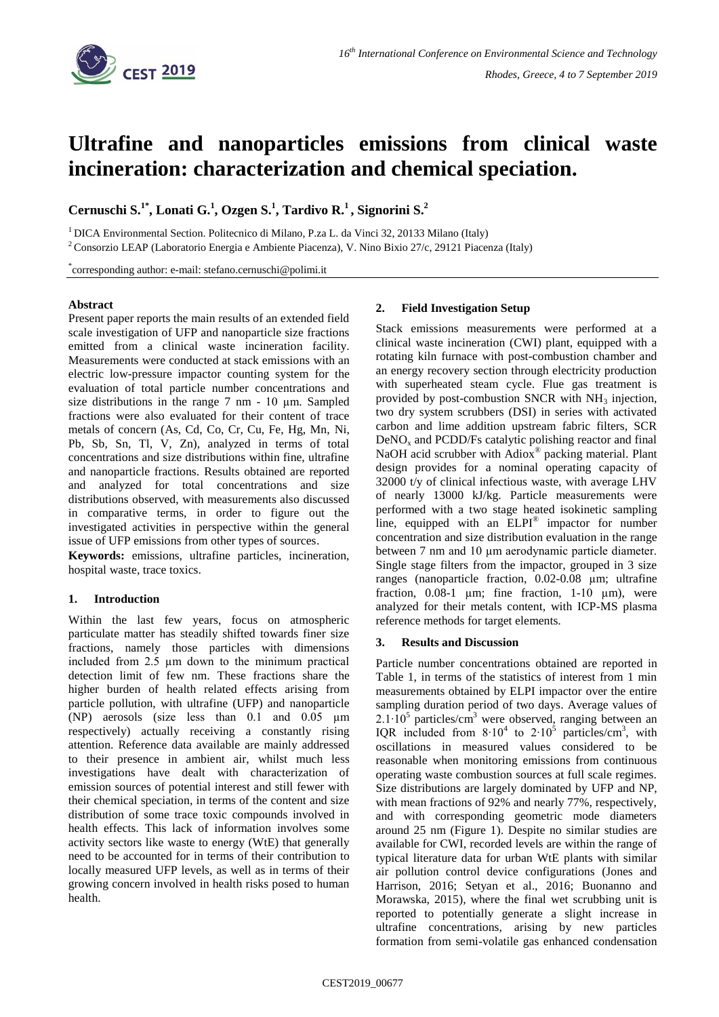

# **Ultrafine and nanoparticles emissions from clinical waste incineration: characterization and chemical speciation.**

**Cernuschi S.1\*, Lonati G.<sup>1</sup> , Ozgen S.<sup>1</sup> , Tardivo R.<sup>1</sup> , Signorini S. 2**

<sup>1</sup>DICA Environmental Section. Politecnico di Milano, P.za L. da Vinci 32, 20133 Milano (Italy)

<sup>2</sup>Consorzio LEAP (Laboratorio Energia e Ambiente Piacenza), V. Nino Bixio 27/c, 29121 Piacenza (Italy)

\* corresponding author: e-mail: stefano.cernuschi@polimi.it

### **Abstract**

Present paper reports the main results of an extended field scale investigation of UFP and nanoparticle size fractions emitted from a clinical waste incineration facility. Measurements were conducted at stack emissions with an electric low-pressure impactor counting system for the evaluation of total particle number concentrations and size distributions in the range 7 nm - 10 µm. Sampled fractions were also evaluated for their content of trace metals of concern (As, Cd, Co, Cr, Cu, Fe, Hg, Mn, Ni, Pb, Sb, Sn, Tl, V, Zn), analyzed in terms of total concentrations and size distributions within fine, ultrafine and nanoparticle fractions. Results obtained are reported and analyzed for total concentrations and size distributions observed, with measurements also discussed in comparative terms, in order to figure out the investigated activities in perspective within the general issue of UFP emissions from other types of sources.

**Keywords:** emissions, ultrafine particles, incineration, hospital waste, trace toxics.

# **1. Introduction**

Within the last few years, focus on atmospheric particulate matter has steadily shifted towards finer size fractions, namely those particles with dimensions included from 2.5 µm down to the minimum practical detection limit of few nm. These fractions share the higher burden of health related effects arising from particle pollution, with ultrafine (UFP) and nanoparticle (NP) aerosols (size less than 0.1 and 0.05 µm respectively) actually receiving a constantly rising attention. Reference data available are mainly addressed to their presence in ambient air, whilst much less investigations have dealt with characterization of emission sources of potential interest and still fewer with their chemical speciation, in terms of the content and size distribution of some trace toxic compounds involved in health effects. This lack of information involves some activity sectors like waste to energy (WtE) that generally need to be accounted for in terms of their contribution to locally measured UFP levels, as well as in terms of their growing concern involved in health risks posed to human health.

### **2. Field Investigation Setup**

Stack emissions measurements were performed at a clinical waste incineration (CWI) plant, equipped with a rotating kiln furnace with post-combustion chamber and an energy recovery section through electricity production with superheated steam cycle. Flue gas treatment is provided by post-combustion SNCR with  $NH<sub>3</sub>$  injection, two dry system scrubbers (DSI) in series with activated carbon and lime addition upstream fabric filters, SCR  $DeNO<sub>x</sub>$  and  $PCDD/Fs$  catalytic polishing reactor and final NaOH acid scrubber with Adiox<sup>®</sup> packing material. Plant design provides for a nominal operating capacity of 32000 t/y of clinical infectious waste, with average LHV of nearly 13000 kJ/kg. Particle measurements were performed with a two stage heated isokinetic sampling line, equipped with an ELPI<sup>®</sup> impactor for number concentration and size distribution evaluation in the range between 7 nm and 10 µm aerodynamic particle diameter. Single stage filters from the impactor, grouped in 3 size ranges (nanoparticle fraction, 0.02-0.08 µm; ultrafine fraction,  $0.08-1$  µm; fine fraction,  $1-10$  µm), were analyzed for their metals content, with ICP-MS plasma reference methods for target elements.

# **3. Results and Discussion**

Particle number concentrations obtained are reported in Table 1, in terms of the statistics of interest from 1 min measurements obtained by ELPI impactor over the entire sampling duration period of two days. Average values of  $2.1 \cdot 10^5$  particles/cm<sup>3</sup> were observed, ranging between an IQR included from  $8·10<sup>4</sup>$  to  $2·10<sup>5</sup>$  particles/cm<sup>3</sup>, with oscillations in measured values considered to be reasonable when monitoring emissions from continuous operating waste combustion sources at full scale regimes. Size distributions are largely dominated by UFP and NP, with mean fractions of 92% and nearly 77%, respectively, and with corresponding geometric mode diameters around 25 nm (Figure 1). Despite no similar studies are available for CWI, recorded levels are within the range of typical literature data for urban WtE plants with similar air pollution control device configurations (Jones and Harrison, 2016; Setyan et al., 2016; Buonanno and Morawska, 2015), where the final wet scrubbing unit is reported to potentially generate a slight increase in ultrafine concentrations, arising by new particles formation from semi-volatile gas enhanced condensation